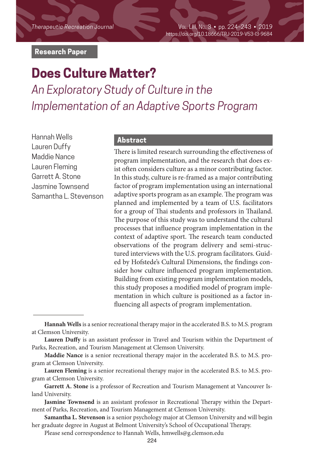*Therapeutic Recreation Journal* Vol. LIII, No. 3 • pp. 224–243 • 2019 https://doi.org/10.18666/TRJ-2019-V53-I3-9684

### **Research Paper**

# **Does Culture Matter?**

*An Exploratory Study of Culture in the Implementation of an Adaptive Sports Program*

Hannah Wells Lauren Duffy Maddie Nance Lauren Fleming Garrett A. Stone Jasmine Townsend Samantha L. Stevenson

### **Abstract**

There is limited research surrounding the effectiveness of program implementation, and the research that does exist often considers culture as a minor contributing factor. In this study, culture is re-framed as a major contributing factor of program implementation using an international adaptive sports program as an example. The program was planned and implemented by a team of U.S. facilitators for a group of Thai students and professors in Thailand. The purpose of this study was to understand the cultural processes that influence program implementation in the context of adaptive sport. The research team conducted observations of the program delivery and semi-structured interviews with the U.S. program facilitators. Guided by Hofstede's Cultural Dimensions, the findings consider how culture influenced program implementation. Building from existing program implementation models, this study proposes a modified model of program implementation in which culture is positioned as a factor influencing all aspects of program implementation.

**Hannah Wells** is a senior recreational therapy major in the accelerated B.S. to M.S. program at Clemson University.

**Lauren Duffy** is an assistant professor in Travel and Tourism within the Department of Parks, Recreation, and Tourism Management at Clemson University.

**Maddie Nance** is a senior recreational therapy major in the accelerated B.S. to M.S. program at Clemson University.

**Lauren Fleming** is a senior recreational therapy major in the accelerated B.S. to M.S. program at Clemson University.

**Garrett A. Stone** is a professor of Recreation and Tourism Management at Vancouver Island University.

**Jasmine Townsend** is an assistant professor in Recreational Therapy within the Department of Parks, Recreation, and Tourism Management at Clemson University.

**Samantha L. Stevenson** is a senior psychology major at Clemson University and will begin her graduate degree in August at Belmont University's School of Occupational Therapy.

Please send correspondence to Hannah Wells, hmwells@g.clemson.edu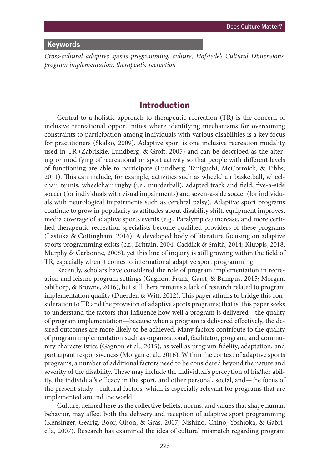### **Keywords**

*Cross-cultural adaptive sports programming, culture, Hofstede's Cultural Dimensions, program implementation, therapeutic recreation*

### **Introduction**

Central to a holistic approach to therapeutic recreation (TR) is the concern of inclusive recreational opportunities where identifying mechanisms for overcoming constraints to participation among individuals with various disabilities is a key focus for practitioners (Skalko, 2009). Adaptive sport is one inclusive recreation modality used in TR (Zabriskie, Lundberg, & Groff, 2005) and can be described as the altering or modifying of recreational or sport activity so that people with different levels of functioning are able to participate (Lundberg, Taniguchi, McCormick, & Tibbs, 2011). This can include, for example, activities such as wheelchair basketball, wheelchair tennis, wheelchair rugby (i.e., murderball), adapted track and field, five-a-side soccer (for individuals with visual impairments) and seven-a-side soccer (for individuals with neurological impairments such as cerebral palsy). Adaptive sport programs continue to grow in popularity as attitudes about disability shift, equipment improves, media coverage of adaptive sports events (e.g., Paralympics) increase, and more certified therapeutic recreation specialists become qualified providers of these programs (Lastuka & Cottingham, 2016). A developed body of literature focusing on adaptive sports programming exists (c.f., Brittain, 2004; Caddick & Smith, 2014; Kiuppis, 2018; Murphy & Carbonne, 2008), yet this line of inquiry is still growing within the field of TR, especially when it comes to international adaptive sport programming.

Recently, scholars have considered the role of program implementation in recreation and leisure program settings (Gagnon, Franz, Garst, & Bumpus, 2015; Morgan, Sibthorp, & Browne, 2016), but still there remains a lack of research related to program implementation quality (Duerden & Witt, 2012). This paper affirms to bridge this consideration to TR and the provision of adaptive sports programs; that is, this paper seeks to understand the factors that influence how well a program is delivered—the quality of program implementation—because when a program is delivered effectively, the desired outcomes are more likely to be achieved. Many factors contribute to the quality of program implementation such as organizational, facilitator, program, and community characteristics (Gagnon et al., 2015), as well as program fidelity, adaptation, and participant responsiveness (Morgan et al., 2016). Within the context of adaptive sports programs, a number of additional factors need to be considered beyond the nature and severity of the disability. These may include the individual's perception of his/her ability, the individual's efficacy in the sport, and other personal, social, and—the focus of the present study—cultural factors, which is especially relevant for programs that are implemented around the world.

Culture, defined here as the collective beliefs, norms, and values that shape human behavior, may affect both the delivery and reception of adaptive sport programming (Kensinger, Gearig, Boor, Olson, & Gras, 2007; Nishino, Chino, Yoshioka, & Gabriella, 2007). Research has examined the idea of cultural mismatch regarding program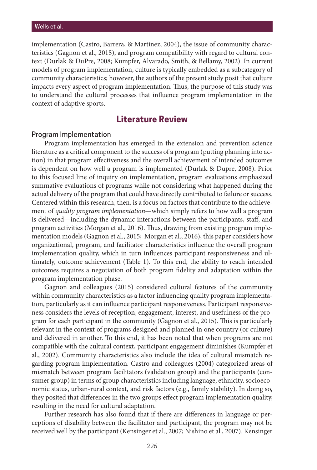implementation (Castro, Barrera, & Martinez, 2004), the issue of community characteristics (Gagnon et al., 2015), and program compatibility with regard to cultural context (Durlak & DuPre, 2008; Kumpfer, Alvarado, Smith, & Bellamy, 2002). In current models of program implementation, culture is typically embedded as a subcategory of community characteristics; however, the authors of the present study posit that culture impacts every aspect of program implementation. Thus, the purpose of this study was to understand the cultural processes that influence program implementation in the context of adaptive sports.

### **Literature Review**

#### Program Implementation

Program implementation has emerged in the extension and prevention science literature as a critical component to the success of a program (putting planning into action) in that program effectiveness and the overall achievement of intended outcomes is dependent on how well a program is implemented (Durlak & Dupre, 2008). Prior to this focused line of inquiry on implementation, program evaluations emphasized summative evaluations of programs while not considering what happened during the actual delivery of the program that could have directly contributed to failure or success. Centered within this research, then, is a focus on factors that contribute to the achievement of *quality program implementation*—which simply refers to how well a program is delivered—including the dynamic interactions between the participants, staff, and program activities (Morgan et al., 2016). Thus, drawing from existing program implementation models (Gagnon et al., 2015; Morgan et al., 2016), this paper considers how organizational, program, and facilitator characteristics influence the overall program implementation quality, which in turn influences participant responsiveness and ultimately, outcome achievement (Table 1). To this end, the ability to reach intended outcomes requires a negotiation of both program fidelity and adaptation within the program implementation phase.

Gagnon and colleagues (2015) considered cultural features of the community within community characteristics as a factor influencing quality program implementation, particularly as it can influence participant responsiveness. Participant responsiveness considers the levels of reception, engagement, interest, and usefulness of the program for each participant in the community (Gagnon et al., 2015). This is particularly relevant in the context of programs designed and planned in one country (or culture) and delivered in another. To this end, it has been noted that when programs are not compatible with the cultural context, participant engagement diminishes (Kumpfer et al., 2002). Community characteristics also include the idea of cultural mismatch regarding program implementation. Castro and colleagues (2004) categorized areas of mismatch between program facilitators (validation group) and the participants (consumer group) in terms of group characteristics including language, ethnicity, socioeconomic status, urban-rural context, and risk factors (e.g., family stability). In doing so, they posited that differences in the two groups effect program implementation quality, resulting in the need for cultural adaptation.

Further research has also found that if there are differences in language or perceptions of disability between the facilitator and participant, the program may not be received well by the participant (Kensinger et al., 2007; Nishino et al., 2007). Kensinger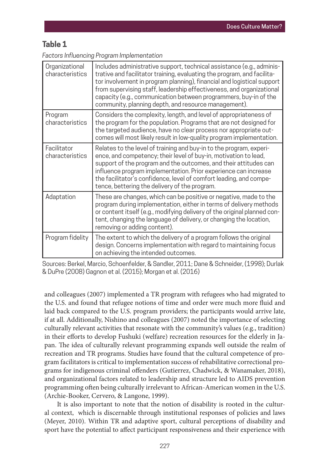# **Table 1**

*Factors Influencing Program Implementation*

| Organizational<br>characteristics | Includes administrative support, technical assistance (e.g., adminis-<br>trative and facilitator training, evaluating the program, and facilita-<br>tor involvement in program planning), financial and logistical support<br>from supervising staff, leadership effectiveness, and organizational<br>capacity (e.g., communication between programmers, buy-in of the<br>community, planning depth, and resource management). |
|-----------------------------------|--------------------------------------------------------------------------------------------------------------------------------------------------------------------------------------------------------------------------------------------------------------------------------------------------------------------------------------------------------------------------------------------------------------------------------|
| Program<br>characteristics        | Considers the complexity, length, and level of appropriateness of<br>the program for the population. Programs that are not designed for<br>the targeted audience, have no clear process nor appropriate out-<br>comes will most likely result in low-quality program implementation.                                                                                                                                           |
| Facilitator<br>characteristics    | Relates to the level of training and buy-in to the program, experi-<br>ence, and competency; their level of buy-in, motivation to lead,<br>support of the program and the outcomes, and their attitudes can<br>influence program implementation. Prior experience can increase<br>the facilitator's confidence, level of comfort leading, and compe-<br>tence, bettering the delivery of the program.                          |
| Adaptation                        | These are changes, which can be positive or negative, made to the<br>program during implementation, either in terms of delivery methods<br>or content itself (e.g., modifying delivery of the original planned con-<br>tent, changing the language of delivery, or changing the location,<br>removing or adding content).                                                                                                      |
| Program fidelity                  | The extent to which the delivery of a program follows the original<br>design. Concerns implementation with regard to maintaining focus<br>on achieving the intended outcomes.                                                                                                                                                                                                                                                  |

Sources: Berkel, Marcio, Schoenfelder, & Sandler, 2011; Dane & Schneider, (1998); Durlak & DuPre (2008) Gagnon et al. (2015); Morgan et al. (2016)

and colleagues (2007) implemented a TR program with refugees who had migrated to the U.S. and found that refugee notions of time and order were much more fluid and laid back compared to the U.S. program providers; the participants would arrive late, if at all. Additionally, Nishino and colleagues (2007) noted the importance of selecting culturally relevant activities that resonate with the community's values (e.g., tradition) in their efforts to develop Fushuki (welfare) recreation resources for the elderly in Japan. The idea of culturally relevant programming expands well outside the realm of recreation and TR programs. Studies have found that the cultural competence of program facilitators is critical to implementation success of rehabilitative correctional programs for indigenous criminal offenders (Gutierrez, Chadwick, & Wanamaker, 2018), and organizational factors related to leadership and structure led to AIDS prevention programming often being culturally irrelevant to African-American women in the U.S. (Archie-Booker, Cervero, & Langone, 1999).

It is also important to note that the notion of disability is rooted in the cultural context, which is discernable through institutional responses of policies and laws (Meyer, 2010). Within TR and adaptive sport, cultural perceptions of disability and sport have the potential to affect participant responsiveness and their experience with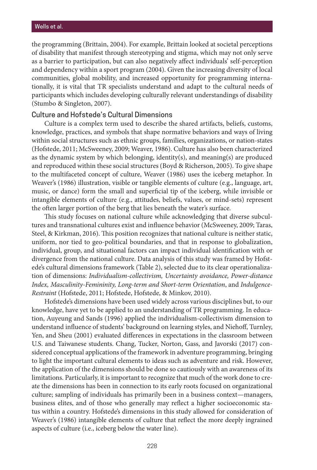the programming (Brittain, 2004). For example, Brittain looked at societal perceptions of disability that manifest through stereotyping and stigma, which may not only serve as a barrier to participation, but can also negatively affect individuals' self-perception and dependency within a sport program (2004). Given the increasing diversity of local communities, global mobility, and increased opportunity for programming internationally, it is vital that TR specialists understand and adapt to the cultural needs of participants which includes developing culturally relevant understandings of disability (Stumbo & Singleton, 2007).

#### Culture and Hofstede's Cultural Dimensions

Culture is a complex term used to describe the shared artifacts, beliefs, customs, knowledge, practices, and symbols that shape normative behaviors and ways of living within social structures such as ethnic groups, families, organizations, or nation-states (Hofstede, 2011; McSweeney, 2009; Weaver, 1986). Culture has also been characterized as the dynamic system by which belonging, identity(s), and meaning(s) are produced and reproduced within these social structures (Boyd & Richerson, 2005). To give shape to the multifaceted concept of culture, Weaver (1986) uses the iceberg metaphor. In Weaver's (1986) illustration, visible or tangible elements of culture (e.g., language, art, music, or dance) form the small and superficial tip of the iceberg, while invisible or intangible elements of culture (e.g., attitudes, beliefs, values, or mind-sets) represent the often larger portion of the berg that lies beneath the water's surface.

This study focuses on national culture while acknowledging that diverse subcultures and transnational cultures exist and influence behavior (McSweeney, 2009; Taras, Steel, & Kirkman, 2016). This position recognizes that national culture is neither static, uniform, nor tied to geo-political boundaries, and that in response to globalization, individual, group, and situational factors can impact individual identification with or divergence from the national culture. Data analysis of this study was framed by Hofstede's cultural dimensions framework (Table 2), selected due to its clear operationalization of dimensions: *Individualism-collectivism, Uncertainty avoidance, Power-distance Index, Masculinity-Femininity, Long-term and Short-term Orientation*, and *Indulgence-Restraint* (Hofstede, 2011; Hofstede, Hofstede, & Minkov, 2010).

Hofstede's dimensions have been used widely across various disciplines but, to our knowledge, have yet to be applied to an understanding of TR programming. In education, Auyeung and Sands (1996) applied the individualism-collectivism dimension to understand influence of students' background on learning styles, and Niehoff, Turnley, Yen, and Sheu (2001) evaluated differences in expectations in the classroom between U.S. and Taiwanese students. Chang, Tucker, Norton, Gass, and Javorski (2017) considered conceptual applications of the framework in adventure programming, bringing to light the important cultural elements to ideas such as adventure and risk. However, the application of the dimensions should be done so cautiously with an awareness of its limitations. Particularly, it is important to recognize that much of the work done to create the dimensions has been in connection to its early roots focused on organizational culture; sampling of individuals has primarily been in a business context—managers, business elites, and of those who generally may reflect a higher socioeconomic status within a country. Hofstede's dimensions in this study allowed for consideration of Weaver's (1986) intangible elements of culture that reflect the more deeply ingrained aspects of culture (i.e., iceberg below the water line).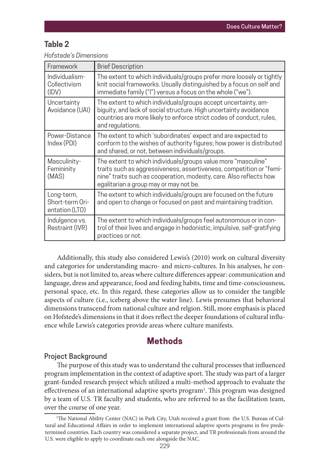### **Table 2**

| Hofstede's Dimensions |  |  |
|-----------------------|--|--|
|                       |  |  |

| Framework                                       | <b>Brief Description</b>                                                                                                                                                                                                                             |
|-------------------------------------------------|------------------------------------------------------------------------------------------------------------------------------------------------------------------------------------------------------------------------------------------------------|
| Individualism-<br>Collectivism<br>(IDV)         | The extent to which individuals/groups prefer more loosely or tightly<br>knit social frameworks. Usually distinguished by a focus on self and<br>immediate family ("I") versus a focus on the whole ("we").                                          |
| Uncertainty<br>Avoidance (UAI)                  | The extent to which individuals/groups accept uncertainty, am-<br>biguity, and lack of social structure. High uncertainty avoidance<br>countries are more likely to enforce strict codes of conduct, rules,<br>and regulations.                      |
| Power-Distance<br>Index (PDI)                   | The extent to which 'subordinates' expect and are expected to<br>conform to the wishes of authority figures; how power is distributed<br>and shared, or not, between individuals/groups.                                                             |
| Masculinity-<br>Femininity<br>(MAS)             | The extent to which individuals/groups value more "masculine"<br>traits such as aggressiveness, assertiveness, competition or "femi-<br>nine" traits such as cooperation, modesty, care. Also reflects how<br>egalitarian a group may or may not be. |
| Long-term,<br>Short-term Ori-<br>entation (LTO) | The extent to which individuals/groups are focused on the future<br>and open to change or focused on past and maintaining tradition.                                                                                                                 |
| Indulgence vs.<br>Restraint (IVR)               | The extent to which individuals/groups feel autonomous or in con-<br>trol of their lives and engage in hedonistic, impulsive, self-gratifying<br>practices or not.                                                                                   |

Additionally, this study also considered Lewis's (2010) work on cultural diversity and categories for understanding macro- and micro-cultures. In his analyses, he considers, but is not limited to, areas where culture differences appear: communication and language, dress and appearance, food and feeding habits, time and time-consciousness, personal space, etc. In this regard, these categories allow us to consider the tangible aspects of culture (i.e., iceberg above the water line). Lewis presumes that behavioral dimensions transcend from national culture and relgion. Still, more emphasis is placed on Hofstede's dimensions in that it does reflect the deeper foundations of cultural influence while Lewis's categories provide areas where culture manifests.

### **Methods**

### Project Background

The purpose of this study was to understand the cultural processes that influenced program implementation in the context of adaptive sport. The study was part of a larger grant-funded research project which utilized a multi-method approach to evaluate the effectiveness of an international adaptive sports program<sup>1</sup>. This program was designed by a team of U.S. TR faculty and students, who are referred to as the facilitation team, over the course of one year.

<sup>1</sup> The National Ability Center (NAC) in Park City, Utah received a grant from the U.S. Bureau of Cultural and Educational Affairs in order to implement international adaptive sports programs in five predetermined countries. Each country was considered a separate project, and TR professionals from around the U.S. were eligible to apply to coordinate each one alongside the NAC.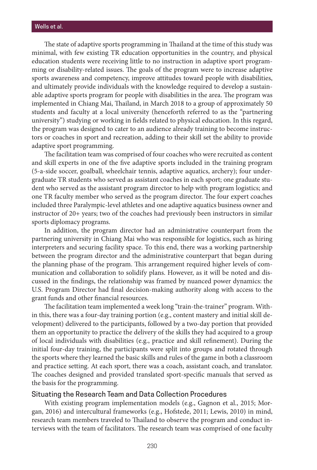The state of adaptive sports programming in Thailand at the time of this study was minimal, with few existing TR education opportunities in the country, and physical education students were receiving little to no instruction in adaptive sport programming or disability-related issues. The goals of the program were to increase adaptive sports awareness and competency, improve attitudes toward people with disabilities, and ultimately provide individuals with the knowledge required to develop a sustainable adaptive sports program for people with disabilities in the area. The program was implemented in Chiang Mai, Thailand, in March 2018 to a group of approximately 50 students and faculty at a local university (henceforth referred to as the "partnering university") studying or working in fields related to physical education. In this regard, the program was designed to cater to an audience already training to become instructors or coaches in sport and recreation, adding to their skill set the ability to provide adaptive sport programming.

The facilitation team was comprised of four coaches who were recruited as content and skill experts in one of the five adaptive sports included in the training program (5-a-side soccer, goalball, wheelchair tennis, adaptive aquatics, archery); four undergraduate TR students who served as assistant coaches in each sport; one graduate student who served as the assistant program director to help with program logistics; and one TR faculty member who served as the program director. The four expert coaches included three Paralympic-level athletes and one adaptive aquatics business owner and instructor of 20+ years; two of the coaches had previously been instructors in similar sports diplomacy programs.

In addition, the program director had an administrative counterpart from the partnering university in Chiang Mai who was responsible for logistics, such as hiring interpreters and securing facility space. To this end, there was a working partnership between the program director and the administrative counterpart that began during the planning phase of the program. This arrangement required higher levels of communication and collaboration to solidify plans. However, as it will be noted and discussed in the findings, the relationship was framed by nuanced power dynamics: the U.S. Program Director had final decision-making authority along with access to the grant funds and other financial resources.

The facilitation team implemented a week long "train-the-trainer" program. Within this, there was a four-day training portion (e.g., content mastery and initial skill development) delivered to the participants, followed by a two-day portion that provided them an opportunity to practice the delivery of the skills they had acquired to a group of local individuals with disabilities (e.g., practice and skill refinement). During the initial four-day training, the participants were split into groups and rotated through the sports where they learned the basic skills and rules of the game in both a classroom and practice setting. At each sport, there was a coach, assistant coach, and translator. The coaches designed and provided translated sport-specific manuals that served as the basis for the programming.

### Situating the Research Team and Data Collection Procedures

With existing program implementation models (e.g., Gagnon et al., 2015; Morgan, 2016) and intercultural frameworks (e.g., Hofstede, 2011; Lewis, 2010) in mind, research team members traveled to Thailand to observe the program and conduct interviews with the team of facilitators. The research team was comprised of one faculty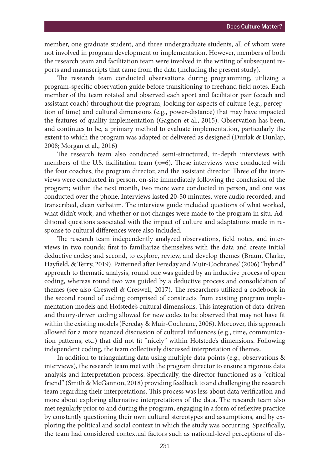member, one graduate student, and three undergraduate students, all of whom were not involved in program development or implementation. However, members of both the research team and facilitation team were involved in the writing of subsequent reports and manuscripts that came from the data (including the present study).

The research team conducted observations during programming, utilizing a program-specific observation guide before transitioning to freehand field notes. Each member of the team rotated and observed each sport and facilitator pair (coach and assistant coach) throughout the program, looking for aspects of culture (e.g., perception of time) and cultural dimensions (e.g., power-distance) that may have impacted the features of quality implementation (Gagnon et al., 2015). Observation has been, and continues to be, a primary method to evaluate implementation, particularly the extent to which the program was adapted or delivered as designed (Durlak & Dunlap, 2008; Morgan et al., 2016)

The research team also conducted semi-structured, in-depth interviews with members of the U.S. facilitation team (*n*=6). These interviews were conducted with the four coaches, the program director, and the assistant director. Three of the interviews were conducted in person, on-site immediately following the conclusion of the program; within the next month, two more were conducted in person, and one was conducted over the phone. Interviews lasted 20-50 minutes, were audio recorded, and transcribed, clean verbatim. The interview guide included questions of what worked, what didn't work, and whether or not changes were made to the program in situ. Additional questions associated with the impact of culture and adaptations made in response to cultural differences were also included.

The research team independently analyzed observations, field notes, and interviews in two rounds: first to familiarize themselves with the data and create initial deductive codes; and second, to explore, review, and develop themes (Braun, Clarke, Hayfield, & Terry, 2019). Patterned after Fereday and Muir-Cochranes' (2006) "hybrid" approach to thematic analysis, round one was guided by an inductive process of open coding, whereas round two was guided by a deductive process and consolidation of themes (see also Creswell & Creswell, 2017). The researchers utilized a codebook in the second round of coding comprised of constructs from existing program implementation models and Hofstede's cultural dimensions. This integration of data-driven and theory-driven coding allowed for new codes to be observed that may not have fit within the existing models (Fereday & Muir-Cochrane, 2006). Moreover, this approach allowed for a more nuanced discussion of cultural influences (e.g., time, communication patterns, etc.) that did not fit "nicely" within Hofstede's dimensions. Following independent coding, the team collectively discussed interpretation of themes.

In addition to triangulating data using multiple data points (e.g., observations & interviews), the research team met with the program director to ensure a rigorous data analysis and interpretation process. Specifically, the director functioned as a "critical friend" (Smith & McGannon, 2018) providing feedback to and challenging the research team regarding their interpretations. This process was less about data verification and more about exploring alternative interpretations of the data. The research team also met regularly prior to and during the program, engaging in a form of reflexive practice by constantly questioning their own cultural stereotypes and assumptions, and by exploring the political and social context in which the study was occurring. Specifically, the team had considered contextual factors such as national-level perceptions of dis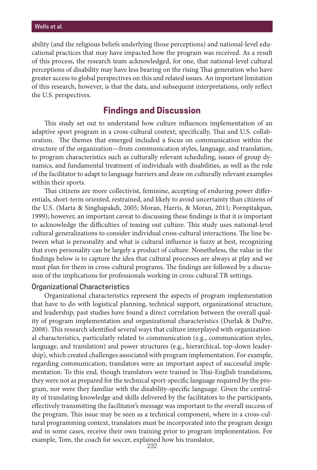ability (and the religious beliefs underlying those perceptions) and national-level educational practices that may have impacted how the program was received. As a result of this process, the research team acknowledged, for one, that national-level cultural perceptions of disability may have less bearing on the rising Thai generation who have greater access to global perspectives on this and related issues. An important limitation of this research, however, is that the data, and subsequent interpretations, only reflect the U.S. perspectives.

### **Findings and Discussion**

This study set out to understand how culture influences implementation of an adaptive sport program in a cross-cultural context; specifically, Thai and U.S. collaboration. The themes that emerged included a focus on communication within the structure of the organization—from communication styles, language, and translation, to program characteristics such as culturally relevant scheduling, issues of group dynamics, and fundamental treatment of individuals with disabilities, as well as the role of the facilitator to adapt to language barriers and draw on culturally relevant examples within their sports.

Thai citizens are more collectivist, feminine, accepting of enduring power differentials, short-term oriented, restrained, and likely to avoid uncertainty than citizens of the U.S. (Marta & Singhapakdi, 2005; Moran, Harris, & Moran, 2011; Pornpitakpan, 1999); however, an important caveat to discussing these findings is that it is important to acknowledge the difficulties of teasing out culture. This study uses national-level cultural generalizations to consider individual cross-cultural interactions. The line between what is personality and what is cultural influence is fuzzy at best, recognizing that even personality can be largely a product of culture. Nonetheless, the value in the findings below is to capture the idea that cultural processes are always at play and we must plan for them in cross-cultural programs. The findings are followed by a discussion of the implications for professionals working in cross-cultural TR settings.

#### Organizational Characteristics

Organizational characteristics represent the aspects of program implementation that have to do with logistical planning, technical support, organizational structure, and leadership; past studies have found a direct correlation between the overall quality of program implementation and organizational characteristics (Durlak & DuPre, 2008). This research identified several ways that culture interplayed with organizational characteristics, particularly related to communication (e.g., communication styles, language, and translation) and power structures (e.g., hierarchical, top-down leadership), which created challenges associated with program implementation. For example, regarding communication, translators were an important aspect of successful implementation. To this end, though translators were trained in Thai-English translations, they were not as prepared for the technical sport-specific language required by the program, nor were they familiar with the disability-specific language. Given the centrality of translating knowledge and skills delivered by the facilitators to the participants, effectively transmitting the facilitator's message was important to the overall success of the program. This issue may be seen as a technical component, where in a cross-cultural programming context, translators must be incorporated into the program design and in some cases, receive their own training prior to program implementation. For example, Tom, the coach for soccer, explained how his translator,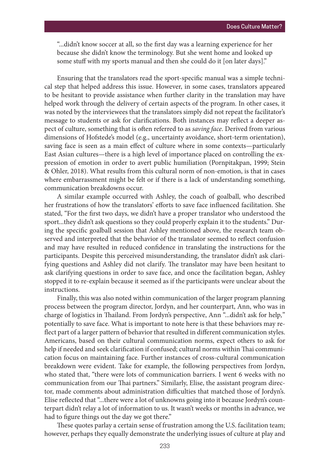"...didn't know soccer at all, so the first day was a learning experience for her because she didn't know the terminology. But she went home and looked up some stuff with my sports manual and then she could do it [on later days]."

Ensuring that the translators read the sport-specific manual was a simple technical step that helped address this issue. However, in some cases, translators appeared to be hesitant to provide assistance when further clarity in the translation may have helped work through the delivery of certain aspects of the program. In other cases, it was noted by the interviewees that the translators simply did not repeat the facilitator's message to students or ask for clarifications. Both instances may reflect a deeper aspect of culture, something that is often referred to as *saving face*. Derived from various dimensions of Hofstede's model (e.g., uncertainty avoidance, short-term orientation), saving face is seen as a main effect of culture where in some contexts—particularly East Asian cultures—there is a high level of importance placed on controlling the expression of emotion in order to avert public humiliation (Pornpitakpan, 1999; Stein & Ohler, 2018). What results from this cultural norm of non-emotion, is that in cases where embarrassment might be felt or if there is a lack of understanding something, communication breakdowns occur.

A similar example occurred with Ashley, the coach of goalball, who described her frustrations of how the translators' efforts to save face influenced facilitation. She stated, "For the first two days, we didn't have a proper translator who understood the sport...they didn't ask questions so they could properly explain it to the students." During the specific goalball session that Ashley mentioned above, the research team observed and interpreted that the behavior of the translator seemed to reflect confusion and may have resulted in reduced confidence in translating the instructions for the participants. Despite this perceived misunderstanding, the translator didn't ask clarifying questions and Ashley did not clarify. The translator may have been hesitant to ask clarifying questions in order to save face, and once the facilitation began, Ashley stopped it to re-explain because it seemed as if the participants were unclear about the instructions.

Finally, this was also noted within communication of the larger program planning process between the program director, Jordyn, and her counterpart, Ann, who was in charge of logistics in Thailand. From Jordyn's perspective, Ann "...didn't ask for help*,*" potentially to save face. What is important to note here is that these behaviors may reflect part of a larger pattern of behavior that resulted in different communication styles. Americans, based on their cultural communication norms, expect others to ask for help if needed and seek clarification if confused; cultural norms within Thai communication focus on maintaining face. Further instances of cross-cultural communication breakdown were evident. Take for example, the following perspectives from Jordyn, who stated that, "there were lots of communication barriers. I went 6 weeks with no communication from our Thai partners." Similarly, Elise, the assistant program director, made comments about administration difficulties that matched those of Jordyn's. Elise reflected that "...there were a lot of unknowns going into it because Jordyn's counterpart didn't relay a lot of information to us. It wasn't weeks or months in advance, we had to figure things out the day we got there."

These quotes parlay a certain sense of frustration among the U.S. facilitation team; however, perhaps they equally demonstrate the underlying issues of culture at play and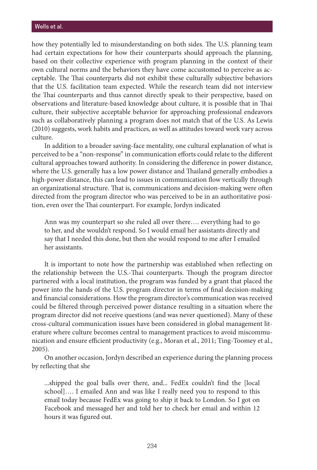how they potentially led to misunderstanding on both sides. The U.S. planning team had certain expectations for how their counterparts should approach the planning, based on their collective experience with program planning in the context of their own cultural norms and the behaviors they have come accustomed to perceive as acceptable. The Thai counterparts did not exhibit these culturally subjective behaviors that the U.S. facilitation team expected. While the research team did not interview the Thai counterparts and thus cannot directly speak to their perspective, based on observations and literature-based knowledge about culture, it is possible that in Thai culture, their subjective acceptable behavior for approaching professional endeavors such as collaboratively planning a program does not match that of the U.S. As Lewis (2010) suggests, work habits and practices, as well as attitudes toward work vary across culture.

In addition to a broader saving-face mentality, one cultural explanation of what is perceived to be a "non-response" in communication efforts could relate to the different cultural approaches toward authority. In considering the difference in power distance, where the U.S. generally has a low power distance and Thailand generally embodies a high-power distance, this can lead to issues in communication flow vertically through an organizational structure. That is, communications and decision-making were often directed from the program director who was perceived to be in an authoritative position, even over the Thai counterpart. For example, Jordyn indicated

Ann was my counterpart so she ruled all over there…. everything had to go to her, and she wouldn't respond. So I would email her assistants directly and say that I needed this done, but then she would respond to me after I emailed her assistants.

It is important to note how the partnership was established when reflecting on the relationship between the U.S.-Thai counterparts. Though the program director partnered with a local institution, the program was funded by a grant that placed the power into the hands of the U.S. program director in terms of final decision-making and financial considerations. How the program director's communication was received could be filtered through perceived power distance resulting in a situation where the program director did not receive questions (and was never questioned). Many of these cross-cultural communication issues have been considered in global management literature where culture becomes central to management practices to avoid miscommunication and ensure efficient productivity (e.g., Moran et al., 2011; Ting-Toomey et al., 2005).

On another occasion, Jordyn described an experience during the planning process by reflecting that she

...shipped the goal balls over there, and... FedEx couldn't find the [local school]…. I emailed Ann and was like I really need you to respond to this email today because FedEx was going to ship it back to London. So I got on Facebook and messaged her and told her to check her email and within 12 hours it was figured out.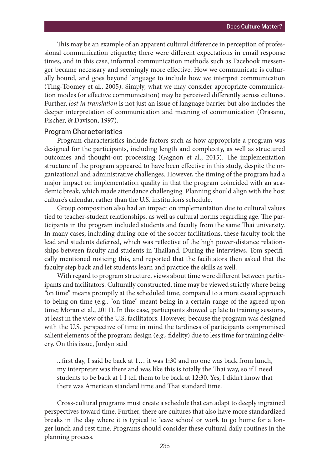This may be an example of an apparent cultural difference in perception of professional communication etiquette; there were different expectations in email response times, and in this case, informal communication methods such as Facebook messenger became necessary and seemingly more effective. How we communicate is culturally bound, and goes beyond language to include how we interpret communication (Ting-Toomey et al., 2005). Simply, what we may consider appropriate communication modes (or effective communication) may be perceived differently across cultures. Further, *lost in translation* is not just an issue of language barrier but also includes the deeper interpretation of communication and meaning of communication (Orasanu, Fischer, & Davison, 1997).

#### Program Characteristics

Program characteristics include factors such as how appropriate a program was designed for the participants, including length and complexity, as well as structured outcomes and thought-out processing (Gagnon et al., 2015). The implementation structure of the program appeared to have been effective in this study, despite the organizational and administrative challenges. However, the timing of the program had a major impact on implementation quality in that the program coincided with an academic break, which made attendance challenging. Planning should align with the host culture's calendar, rather than the U.S. institution's schedule.

Group composition also had an impact on implementation due to cultural values tied to teacher-student relationships, as well as cultural norms regarding age. The participants in the program included students and faculty from the same Thai university. In many cases, including during one of the soccer facilitations, these faculty took the lead and students deferred, which was reflective of the high power-distance relationships between faculty and students in Thailand. During the interviews, Tom specifically mentioned noticing this, and reported that the facilitators then asked that the faculty step back and let students learn and practice the skills as well.

With regard to program structure, views about time were different between participants and facilitators. Culturally constructed, time may be viewed strictly where being "on time" means promptly at the scheduled time, compared to a more casual approach to being on time (e.g., "on time" meant being in a certain range of the agreed upon time; Moran et al., 2011). In this case, participants showed up late to training sessions, at least in the view of the U.S. facilitators. However, because the program was designed with the U.S. perspective of time in mind the tardiness of participants compromised salient elements of the program design (e.g., fidelity) due to less time for training delivery. On this issue, Jordyn said

...first day, I said be back at 1… it was 1:30 and no one was back from lunch, my interpreter was there and was like this is totally the Thai way, so if I need students to be back at 1 I tell them to be back at 12:30. Yes, I didn't know that there was American standard time and Thai standard time.

Cross-cultural programs must create a schedule that can adapt to deeply ingrained perspectives toward time. Further, there are cultures that also have more standardized breaks in the day where it is typical to leave school or work to go home for a longer lunch and rest time. Programs should consider these cultural daily routines in the planning process.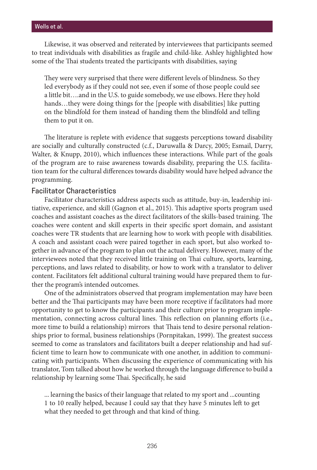Likewise, it was observed and reiterated by interviewees that participants seemed to treat individuals with disabilities as fragile and child-like. Ashley highlighted how some of the Thai students treated the participants with disabilities, saying

They were very surprised that there were different levels of blindness. So they led everybody as if they could not see, even if some of those people could see a little bit….and in the U.S. to guide somebody, we use elbows. Here they hold hands…they were doing things for the [people with disabilities] like putting on the blindfold for them instead of handing them the blindfold and telling them to put it on.

The literature is replete with evidence that suggests perceptions toward disability are socially and culturally constructed (c.f., Daruwalla & Darcy, 2005; Esmail, Darry, Walter, & Knupp, 2010), which influences these interactions. While part of the goals of the program are to raise awareness towards disability, preparing the U.S. facilitation team for the cultural differences towards disability would have helped advance the programming.

### Facilitator Characteristics

Facilitator characteristics address aspects such as attitude, buy-in, leadership initiative, experience, and skill (Gagnon et al., 2015). This adaptive sports program used coaches and assistant coaches as the direct facilitators of the skills-based training. The coaches were content and skill experts in their specific sport domain, and assistant coaches were TR students that are learning how to work with people with disabilities. A coach and assistant coach were paired together in each sport, but also worked together in advance of the program to plan out the actual delivery. However, many of the interviewees noted that they received little training on Thai culture, sports, learning, perceptions, and laws related to disability, or how to work with a translator to deliver content. Facilitators felt additional cultural training would have prepared them to further the program's intended outcomes.

One of the administrators observed that program implementation may have been better and the Thai participants may have been more receptive if facilitators had more opportunity to get to know the participants and their culture prior to program implementation, connecting across cultural lines. This reflection on planning efforts (i.e., more time to build a relationship) mirrors that Thais tend to desire personal relationships prior to formal, business relationships (Pornpitakan, 1999). The greatest success seemed to come as translators and facilitators built a deeper relationship and had sufficient time to learn how to communicate with one another, in addition to communicating with participants. When discussing the experience of communicating with his translator, Tom talked about how he worked through the language difference to build a relationship by learning some Thai. Specifically, he said

... learning the basics of their language that related to my sport and ...counting 1 to 10 really helped, because I could say that they have 5 minutes left to get what they needed to get through and that kind of thing.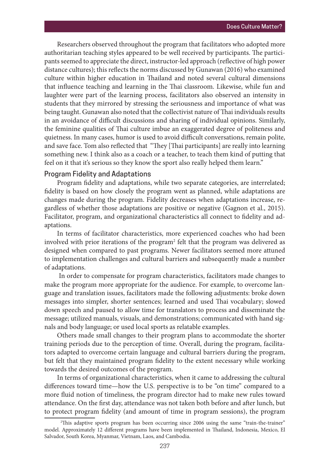Researchers observed throughout the program that facilitators who adopted more authoritarian teaching styles appeared to be well received by participants. The participants seemed to appreciate the direct, instructor-led approach (reflective of high power distance cultures); this reflects the norms discussed by Gunawan (2016) who examined culture within higher education in Thailand and noted several cultural dimensions that influence teaching and learning in the Thai classroom. Likewise, while fun and laughter were part of the learning process, facilitators also observed an intensity in students that they mirrored by stressing the seriousness and importance of what was being taught. Gunawan also noted that the collectivist nature of Thai individuals results in an avoidance of difficult discussions and sharing of individual opinions. Similarly, the feminine qualities of Thai culture imbue an exaggerated degree of politeness and quietness. In many cases, humor is used to avoid difficult conversations, remain polite, and save face. Tom also reflected that "They [Thai participants] are really into learning something new. I think also as a coach or a teacher, to teach them kind of putting that feel on it that it's serious so they know the sport also really helped them learn."

#### Program Fidelity and Adaptations

Program fidelity and adaptations, while two separate categories, are interrelated; fidelity is based on how closely the program went as planned, while adaptations are changes made during the program. Fidelity decreases when adaptations increase, regardless of whether those adaptations are positive or negative (Gagnon et al., 2015). Facilitator, program, and organizational characteristics all connect to fidelity and adaptations.

In terms of facilitator characteristics, more experienced coaches who had been involved with prior iterations of the program<sup>2</sup> felt that the program was delivered as designed when compared to past programs. Newer facilitators seemed more attuned to implementation challenges and cultural barriers and subsequently made a number of adaptations.

 In order to compensate for program characteristics, facilitators made changes to make the program more appropriate for the audience. For example, to overcome language and translation issues, facilitators made the following adjustments: broke down messages into simpler, shorter sentences; learned and used Thai vocabulary; slowed down speech and paused to allow time for translators to process and disseminate the message; utilized manuals, visuals, and demonstrations; communicated with hand signals and body language; or used local sports as relatable examples.

Others made small changes to their program plans to accommodate the shorter training periods due to the perception of time. Overall, during the program, facilitators adapted to overcome certain language and cultural barriers during the program, but felt that they maintained program fidelity to the extent necessary while working towards the desired outcomes of the program.

In terms of organizational characteristics, when it came to addressing the cultural differences toward time—how the U.S. perspective is to be "on time" compared to a more fluid notion of timeliness, the program director had to make new rules toward attendance. On the first day, attendance was not taken both before and after lunch, but to protect program fidelity (and amount of time in program sessions), the program

<sup>2</sup> This adaptive sports program has been occurring since 2006 using the same "train-the-trainer" model. Approximately 12 different programs have been implemented in Thailand, Indonesia, Mexico, El Salvador, South Korea, Myanmar, Vietnam, Laos, and Cambodia.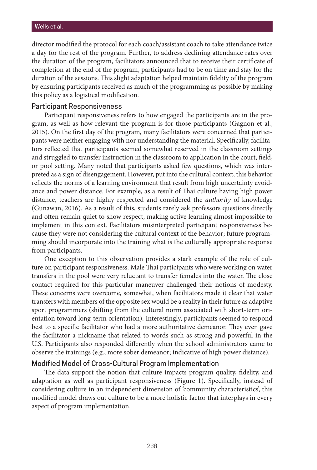director modified the protocol for each coach/assistant coach to take attendance twice a day for the rest of the program. Further, to address declining attendance rates over the duration of the program, facilitators announced that to receive their certificate of completion at the end of the program, participants had to be on time and stay for the duration of the sessions. This slight adaptation helped maintain fidelity of the program by ensuring participants received as much of the programming as possible by making this policy as a logistical modification.

#### Participant Responsiveness

Participant responsiveness refers to how engaged the participants are in the program, as well as how relevant the program is for those participants (Gagnon et al., 2015). On the first day of the program, many facilitators were concerned that participants were neither engaging with nor understanding the material. Specifically, facilitators reflected that participants seemed somewhat reserved in the classroom settings and struggled to transfer instruction in the classroom to application in the court, field, or pool setting. Many noted that participants asked few questions, which was interpreted as a sign of disengagement. However, put into the cultural context, this behavior reflects the norms of a learning environment that result from high uncertainty avoidance and power distance. For example, as a result of Thai culture having high power distance, teachers are highly respected and considered the *authority* of knowledge (Gunawan, 2016). As a result of this, students rarely ask professors questions directly and often remain quiet to show respect, making active learning almost impossible to implement in this context. Facilitators misinterpreted participant responsiveness because they were not considering the cultural context of the behavior; future programming should incorporate into the training what is the culturally appropriate response from participants.

One exception to this observation provides a stark example of the role of culture on participant responsiveness. Male Thai participants who were working on water transfers in the pool were very reluctant to transfer females into the water. The close contact required for this particular maneuver challenged their notions of modesty. These concerns were overcome, somewhat, when facilitators made it clear that water transfers with members of the opposite sex would be a reality in their future as adaptive sport programmers (shifting from the cultural norm associated with short-term orientation toward long-term orientation). Interestingly, participants seemed to respond best to a specific facilitator who had a more authoritative demeanor. They even gave the facilitator a nickname that related to words such as strong and powerful in the U.S. Participants also responded differently when the school administrators came to observe the trainings (e.g., more sober demeanor; indicative of high power distance).

#### Modified Model of Cross-Cultural Program Implementation

The data support the notion that culture impacts program quality, fidelity, and adaptation as well as participant responsiveness (Figure 1). Specifically, instead of considering culture in an independent dimension of 'community characteristics', this modified model draws out culture to be a more holistic factor that interplays in every aspect of program implementation.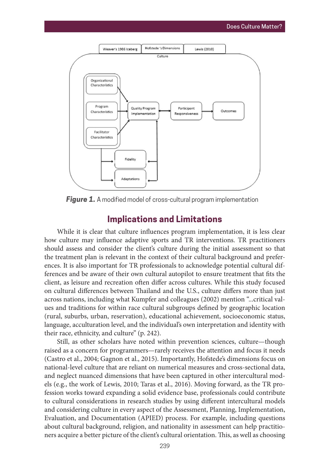

**Figure 1.** A modified model of cross-cultural program implementation

### **Implications and Limitations**

While it is clear that culture influences program implementation, it is less clear how culture may influence adaptive sports and TR interventions. TR practitioners should assess and consider the client's culture during the initial assessment so that the treatment plan is relevant in the context of their cultural background and preferences. It is also important for TR professionals to acknowledge potential cultural differences and be aware of their own cultural autopilot to ensure treatment that fits the client, as leisure and recreation often differ across cultures. While this study focused on cultural differences between Thailand and the U.S., culture differs more than just across nations, including what Kumpfer and colleagues (2002) mention "...critical values and traditions for within race cultural subgroups defined by geographic location (rural, suburbs, urban, reservation), educational achievement, socioeconomic status, language, acculturation level, and the individual's own interpretation and identity with their race, ethnicity, and culture" (p. 242).

Still, as other scholars have noted within prevention sciences, culture—though raised as a concern for programmers—rarely receives the attention and focus it needs (Castro et al., 2004; Gagnon et al., 2015). Importantly, Hofstede's dimensions focus on national-level culture that are reliant on numerical measures and cross-sectional data, and neglect nuanced dimensions that have been captured in other intercultural models (e.g., the work of Lewis, 2010; Taras et al., 2016). Moving forward, as the TR profession works toward expanding a solid evidence base, professionals could contribute to cultural considerations in research studies by using different intercultural models and considering culture in every aspect of the Assessment, Planning, Implementation, Evaluation, and Documentation (APIED) process. For example, including questions about cultural background, religion, and nationality in assessment can help practitioners acquire a better picture of the client's cultural orientation. This, as well as choosing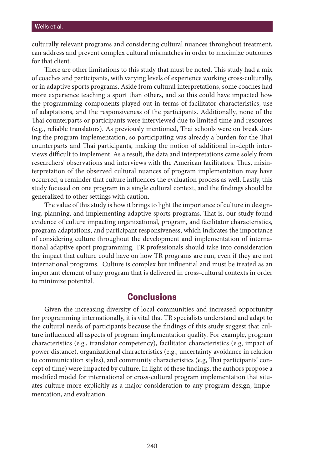culturally relevant programs and considering cultural nuances throughout treatment, can address and prevent complex cultural mismatches in order to maximize outcomes for that client.

There are other limitations to this study that must be noted. This study had a mix of coaches and participants, with varying levels of experience working cross-culturally, or in adaptive sports programs. Aside from cultural interpretations, some coaches had more experience teaching a sport than others, and so this could have impacted how the programming components played out in terms of facilitator characteristics, use of adaptations, and the responsiveness of the participants. Additionally, none of the Thai counterparts or participants were interviewed due to limited time and resources (e.g., reliable translators). As previously mentioned, Thai schools were on break during the program implementation, so participating was already a burden for the Thai counterparts and Thai participants, making the notion of additional in-depth interviews difficult to implement. As a result, the data and interpretations came solely from researchers' observations and interviews with the American facilitators. Thus, misinterpretation of the observed cultural nuances of program implementation may have occurred, a reminder that culture influences the evaluation process as well. Lastly, this study focused on one program in a single cultural context, and the findings should be generalized to other settings with caution.

The value of this study is how it brings to light the importance of culture in designing, planning, and implementing adaptive sports programs. That is, our study found evidence of culture impacting organizational, program, and facilitator characteristics, program adaptations, and participant responsiveness, which indicates the importance of considering culture throughout the development and implementation of international adaptive sport programming. TR professionals should take into consideration the impact that culture could have on how TR programs are run, even if they are not international programs. Culture is complex but influential and must be treated as an important element of any program that is delivered in cross-cultural contexts in order to minimize potential.

### **Conclusions**

Given the increasing diversity of local communities and increased opportunity for programming internationally, it is vital that TR specialists understand and adapt to the cultural needs of participants because the findings of this study suggest that culture influenced all aspects of program implementation quality. For example, program characteristics (e.g., translator competency), facilitator characteristics (e.g, impact of power distance), organizational characteristics (e.g., uncertainty avoidance in relation to communication styles), and community characteristics (e.g, Thai participants' concept of time) were impacted by culture. In light of these findings, the authors propose a modified model for international or cross-cultural program implementation that situates culture more explicitly as a major consideration to any program design, implementation, and evaluation.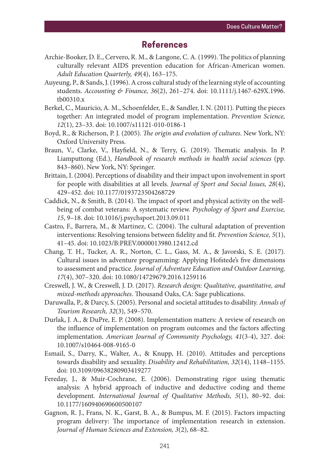# **References**

- Archie-Booker, D. E., Cervero, R. M., & Langone, C. A. (1999). The politics of planning culturally relevant AIDS prevention education for African-American women. *Adult Education Quarterly, 49*(4), 163–175.
- Auyeung, P., & Sands, J. (1996). A cross cultural study of the learning style of accounting students. *Accounting & Finance, 36*(2), 261–274. doi: 10.1111/j.1467-629X.1996. tb00310.x
- Berkel, C., Mauricio, A. M., Schoenfelder, E., & Sandler, I. N. (2011). Putting the pieces together: An integrated model of program implementation. *Prevention Science, 12*(1), 23–33. doi: 10.1007/s11121-010-0186-1
- Boyd, R., & Richerson, P. J. (2005). *The origin and evolution of cultures*. New York, NY: Oxford University Press.
- Braun, V., Clarke, V., Hayfield, N., & Terry, G. (2019). Thematic analysis. In P. Liamputtong (Ed.), *Handbook of research methods in health social sciences* (pp. 843–860). New York, NY: Springer.
- Brittain, I. (2004). Perceptions of disability and their impact upon involvement in sport for people with disabilities at all levels. *Journal of Sport and Social Issues, 28*(4), 429–452. doi: 10.1177/0193723504268729
- Caddick, N., & Smith, B. (2014). The impact of sport and physical activity on the wellbeing of combat veterans: A systematic review. *Psychology of Sport and Exercise, 15*, 9–18. doi: 10.1016/j.psychsport.2013.09.011
- Castro, F., Barrera, M., & Martinez, C. (2004). The cultural adaptation of prevention interventions: Resolving tensions between fidelity and fit. *Prevention Science, 5*(1), 41–45. doi: 10.1023/B:PREV.0000013980.12412.cd
- Chang, T. H., Tucker, A. R., Norton, C. L., Gass, M. A., & Javorski, S. E. (2017). Cultural issues in adventure programming: Applying Hofstede's five dimensions to assessment and practice. *Journal of Adventure Education and Outdoor Learning, 17*(4), 307–320. doi: 10.1080/14729679.2016.1259116
- Creswell, J. W., & Creswell, J. D. (2017). *Research design: Qualitative, quantitative, and mixed-methods approaches*. Thousand Oaks, CA: Sage publications.
- Daruwalla, P., & Darcy, S. (2005). Personal and societal attitudes to disability. *Annals of Tourism Research, 32*(3), 549–570.
- Durlak, J. A., & DuPre, E. P. (2008). Implementation matters: A review of research on the influence of implementation on program outcomes and the factors affecting implementation. *American Journal of Community Psychology, 41*(3-4), 327. doi: 10.1007/s10464-008-9165-0
- Esmail, S., Darry, K., Walter, A., & Knupp, H. (2010). Attitudes and perceptions towards disability and sexuality. *Disability and Rehabilitation, 32*(14), 1148–1155. doi: 10.3109/09638280903419277
- Fereday, J., & Muir-Cochrane, E. (2006). Demonstrating rigor using thematic analysis: A hybrid approach of inductive and deductive coding and theme development. *International Journal of Qualitative Methods, 5*(1), 80–92. doi: 10.1177/160940690600500107
- Gagnon, R. J., Frans, N. K., Garst, B. A., & Bumpus, M. F. (2015). Factors impacting program delivery: The importance of implementation research in extension. *Journal of Human Sciences and Extension, 3*(2), 68–82.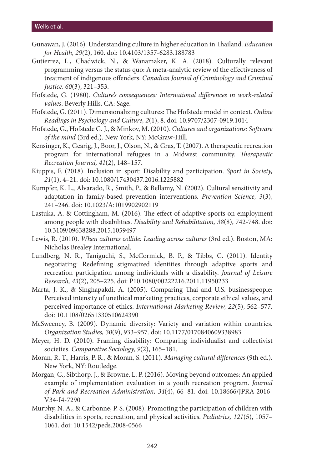#### Wells et al.

- Gunawan, J. (2016). Understanding culture in higher education in Thailand. *Education for Health, 29(*2), 160. doi: 10.4103/1357-6283.188783
- Gutierrez, L., Chadwick, N., & Wanamaker, K. A. (2018). Culturally relevant programming versus the status quo: A meta-analytic review of the effectiveness of treatment of indigenous offenders. *Canadian Journal of Criminology and Criminal Justice, 60*(3), 321–353.
- Hofstede, G. (1980). *Culture's consequences: International differences in work-related values*. Beverly Hills, CA: Sage.
- Hofstede, G. (2011). Dimensionalizing cultures: The Hofstede model in context. *Online Readings in Psychology and Culture, 2*(1), 8. doi: 10.9707/2307-0919.1014
- Hofstede, G., Hofstede G. J., & Minkov, M. (2010). *Cultures and organizations: Software of the mind* (3rd ed.). New York, NY: McGraw-Hill.
- Kensinger, K., Gearig, J., Boor, J., Olson, N., & Gras, T. (2007). A therapeutic recreation program for international refugees in a Midwest community. *Therapeutic Recreation Journal, 41*(2), 148–157.
- Kiuppis, F. (2018). Inclusion in sport: Disability and participation. *Sport in Society, 21*(1), 4–21. doi: 10.1080/17430437.2016.1225882
- Kumpfer, K. L., Alvarado, R., Smith, P., & Bellamy, N. (2002). Cultural sensitivity and adaptation in family-based prevention interventions. *Prevention Science, 3*(3), 241–246. doi: 10.1023/A:1019902902119
- Lastuka, A. & Cottingham, M. (2016). The effect of adaptive sports on employment among people with disabilities. *Disability and Rehabilitation, 38*(8), 742-748. doi: 10.3109/09638288.2015.1059497
- Lewis, R. (2010). *When cultures collide: Leading across cultures* (3rd ed.). Boston, MA: Nicholas Brealey International.
- Lundberg, N. R., Taniguchi, S., McCormick, B. P., & Tibbs, C. (2011). Identity negotiating: Redefining stigmatized identities through adaptive sports and recreation participation among individuals with a disability. *Journal of Leisure Research, 43*(2), 205–225. doi: P10.1080/00222216.2011.11950233
- Marta, J. K., & Singhapakdi, A. (2005). Comparing Thai and U.S. businesspeople: Perceived intensity of unethical marketing practices, corporate ethical values, and perceived importance of ethics. *International Marketing Review, 22*(5), 562–577. doi: 10.1108/02651330510624390
- McSweeney, B. (2009). Dynamic diversity: Variety and variation within countries. *Organization Studies, 30*(9), 933–957. doi: 10.1177/0170840609338983
- Meyer, H. D. (2010). Framing disability: Comparing individualist and collectivist societies. *Comparative Sociology, 9*(2), 165–181.
- Moran, R. T., Harris, P. R., & Moran, S. (2011). *Managing cultural differences* (9th ed.). New York, NY: Routledge.
- Morgan, C., Sibthorp, J., & Browne, L. P. (2016). Moving beyond outcomes: An applied example of implementation evaluation in a youth recreation program. *Journal of Park and Recreation Administration, 34*(4), 66–81. doi: 10.18666/JPRA-2016- V34-I4-7290
- Murphy, N. A., & Carbonne, P. S. (2008). Promoting the participation of children with disabilities in sports, recreation, and physical activities. *Pediatrics, 121*(5), 1057– 1061. doi: 10.1542/peds.2008-0566